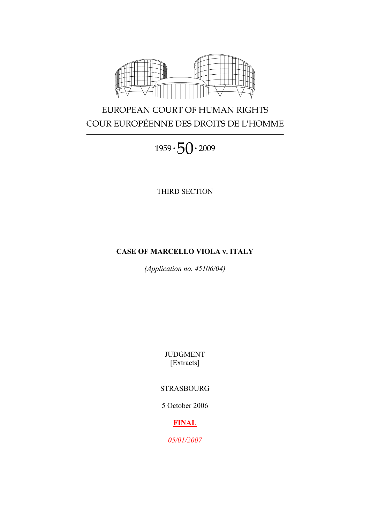

# EUROPEAN COURT OF HUMAN RIGHTS COUR EUROPÉENNE DES DROITS DE L'HOMME

 $1959 \cdot 50 \cdot 2009$ 

THIRD SECTION

## **CASE OF MARCELLO VIOLA v. ITALY**

*(Application no. 45106/04)*

JUDGMENT [Extracts]

## STRASBOURG

5 October 2006

## **FINAL**

*05/01/2007*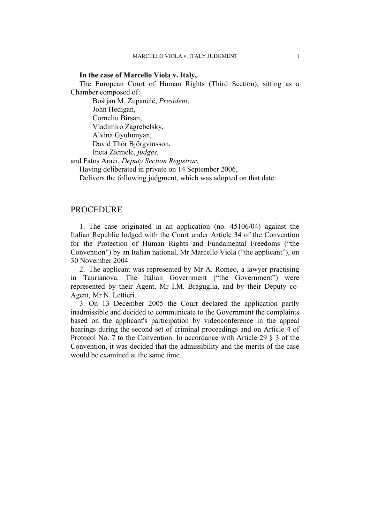#### **In the case of Marcello Viola v. Italy,**

The European Court of Human Rights (Third Section), sitting as a Chamber composed of:

Boštjan M. Zupančič, *President*, John Hedigan, Corneliu Bîrsan, Vladimiro Zagrebelsky, Alvina Gyulumyan, Davíd Thór Björgvinsson, Ineta Ziemele, *judges*,

and Fatoş Aracı, *Deputy Section Registrar*,

Having deliberated in private on 14 September 2006,

Delivers the following judgment, which was adopted on that date:

## **PROCEDURE**

1. The case originated in an application (no. 45106/04) against the Italian Republic lodged with the Court under Article 34 of the Convention for the Protection of Human Rights and Fundamental Freedoms ("the Convention") by an Italian national, Mr Marcello Viola ("the applicant"), on 30 November 2004.

2. The applicant was represented by Mr A. Romeo, a lawyer practising in Taurianova. The Italian Government ("the Government") were represented by their Agent, Mr I.M. Braguglia, and by their Deputy co-Agent, Mr N. Lettieri.

3. On 13 December 2005 the Court declared the application partly inadmissible and decided to communicate to the Government the complaints based on the applicant's participation by videoconference in the appeal hearings during the second set of criminal proceedings and on Article 4 of Protocol No. 7 to the Convention. In accordance with Article 29 § 3 of the Convention, it was decided that the admissibility and the merits of the case would be examined at the same time.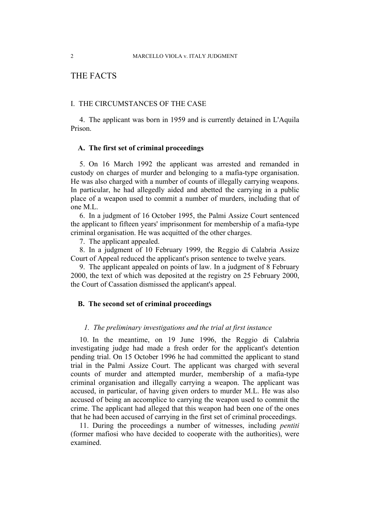## THE FACTS

### I. THE CIRCUMSTANCES OF THE CASE

4. The applicant was born in 1959 and is currently detained in L'Aquila Prison.

### **A. The first set of criminal proceedings**

5. On 16 March 1992 the applicant was arrested and remanded in custody on charges of murder and belonging to a mafia-type organisation. He was also charged with a number of counts of illegally carrying weapons. In particular, he had allegedly aided and abetted the carrying in a public place of a weapon used to commit a number of murders, including that of one M.L.

6. In a judgment of 16 October 1995, the Palmi Assize Court sentenced the applicant to fifteen years' imprisonment for membership of a mafia-type criminal organisation. He was acquitted of the other charges.

7. The applicant appealed.

8. In a judgment of 10 February 1999, the Reggio di Calabria Assize Court of Appeal reduced the applicant's prison sentence to twelve years.

9. The applicant appealed on points of law. In a judgment of 8 February 2000, the text of which was deposited at the registry on 25 February 2000, the Court of Cassation dismissed the applicant's appeal.

### **B. The second set of criminal proceedings**

#### *1. The preliminary investigations and the trial at first instance*

10. In the meantime, on 19 June 1996, the Reggio di Calabria investigating judge had made a fresh order for the applicant's detention pending trial. On 15 October 1996 he had committed the applicant to stand trial in the Palmi Assize Court. The applicant was charged with several counts of murder and attempted murder, membership of a mafia-type criminal organisation and illegally carrying a weapon. The applicant was accused, in particular, of having given orders to murder M.L. He was also accused of being an accomplice to carrying the weapon used to commit the crime. The applicant had alleged that this weapon had been one of the ones that he had been accused of carrying in the first set of criminal proceedings.

11. During the proceedings a number of witnesses, including *pentiti* (former mafiosi who have decided to cooperate with the authorities), were examined.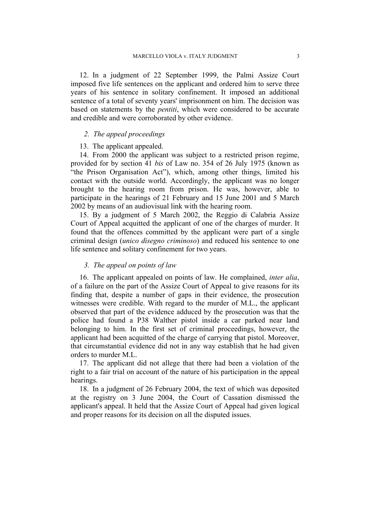12. In a judgment of 22 September 1999, the Palmi Assize Court imposed five life sentences on the applicant and ordered him to serve three years of his sentence in solitary confinement. It imposed an additional sentence of a total of seventy years' imprisonment on him. The decision was based on statements by the *pentiti*, which were considered to be accurate and credible and were corroborated by other evidence.

#### *2. The appeal proceedings*

#### 13. The applicant appealed.

14. From 2000 the applicant was subject to a restricted prison regime, provided for by section 41 *bis* of Law no. 354 of 26 July 1975 (known as "the Prison Organisation Act"), which, among other things, limited his contact with the outside world. Accordingly, the applicant was no longer brought to the hearing room from prison. He was, however, able to participate in the hearings of 21 February and 15 June 2001 and 5 March 2002 by means of an audiovisual link with the hearing room.

15. By a judgment of 5 March 2002, the Reggio di Calabria Assize Court of Appeal acquitted the applicant of one of the charges of murder. It found that the offences committed by the applicant were part of a single criminal design (*unico disegno criminoso*) and reduced his sentence to one life sentence and solitary confinement for two years.

#### *3. The appeal on points of law*

16. The applicant appealed on points of law. He complained, *inter alia*, of a failure on the part of the Assize Court of Appeal to give reasons for its finding that, despite a number of gaps in their evidence, the prosecution witnesses were credible. With regard to the murder of M.L., the applicant observed that part of the evidence adduced by the prosecution was that the police had found a P38 Walther pistol inside a car parked near land belonging to him. In the first set of criminal proceedings, however, the applicant had been acquitted of the charge of carrying that pistol. Moreover, that circumstantial evidence did not in any way establish that he had given orders to murder M.L.

17. The applicant did not allege that there had been a violation of the right to a fair trial on account of the nature of his participation in the appeal hearings.

18. In a judgment of 26 February 2004, the text of which was deposited at the registry on 3 June 2004, the Court of Cassation dismissed the applicant's appeal. It held that the Assize Court of Appeal had given logical and proper reasons for its decision on all the disputed issues.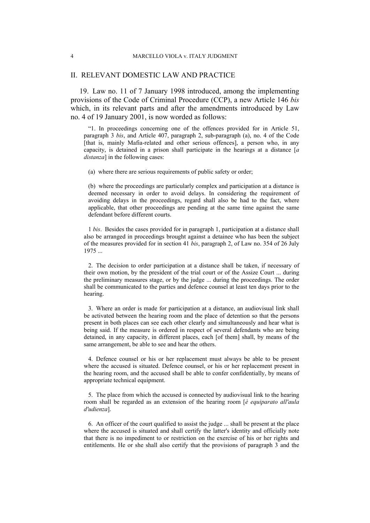#### II. RELEVANT DOMESTIC LAW AND PRACTICE

19. Law no. 11 of 7 January 1998 introduced, among the implementing provisions of the Code of Criminal Procedure (CCP), a new Article 146 *bis* which, in its relevant parts and after the amendments introduced by Law no. 4 of 19 January 2001, is now worded as follows:

"1. In proceedings concerning one of the offences provided for in Article 51, paragraph 3 *bis*, and Article 407, paragraph 2, sub-paragraph (a), no. 4 of the Code [that is, mainly Mafia-related and other serious offences], a person who, in any capacity, is detained in a prison shall participate in the hearings at a distance [*a distanza*] in the following cases:

(a) where there are serious requirements of public safety or order;

(b) where the proceedings are particularly complex and participation at a distance is deemed necessary in order to avoid delays. In considering the requirement of avoiding delays in the proceedings, regard shall also be had to the fact, where applicable, that other proceedings are pending at the same time against the same defendant before different courts.

1 *bis*. Besides the cases provided for in paragraph 1, participation at a distance shall also be arranged in proceedings brought against a detainee who has been the subject of the measures provided for in section 41 *bis*, paragraph 2, of Law no. 354 of 26 July 1975 ...

2. The decision to order participation at a distance shall be taken, if necessary of their own motion, by the president of the trial court or of the Assize Court ... during the preliminary measures stage, or by the judge ... during the proceedings. The order shall be communicated to the parties and defence counsel at least ten days prior to the hearing.

3. Where an order is made for participation at a distance, an audiovisual link shall be activated between the hearing room and the place of detention so that the persons present in both places can see each other clearly and simultaneously and hear what is being said. If the measure is ordered in respect of several defendants who are being detained, in any capacity, in different places, each [of them] shall, by means of the same arrangement, be able to see and hear the others.

4. Defence counsel or his or her replacement must always be able to be present where the accused is situated. Defence counsel, or his or her replacement present in the hearing room, and the accused shall be able to confer confidentially, by means of appropriate technical equipment.

5. The place from which the accused is connected by audiovisual link to the hearing room shall be regarded as an extension of the hearing room [*è equiparato all'aula d'udienza*].

6. An officer of the court qualified to assist the judge ... shall be present at the place where the accused is situated and shall certify the latter's identity and officially note that there is no impediment to or restriction on the exercise of his or her rights and entitlements. He or she shall also certify that the provisions of paragraph 3 and the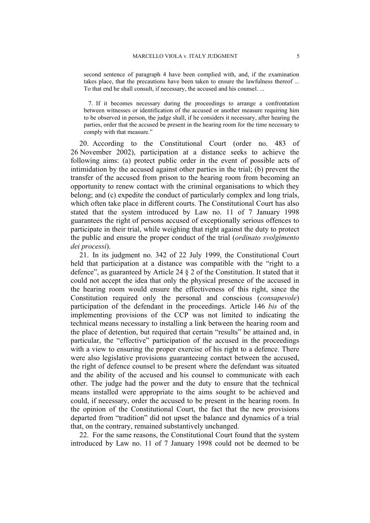second sentence of paragraph 4 have been complied with, and, if the examination takes place, that the precautions have been taken to ensure the lawfulness thereof ... To that end he shall consult, if necessary, the accused and his counsel. ...

7. If it becomes necessary during the proceedings to arrange a confrontation between witnesses or identification of the accused or another measure requiring him to be observed in person, the judge shall, if he considers it necessary, after hearing the parties, order that the accused be present in the hearing room for the time necessary to comply with that measure."

20. According to the Constitutional Court (order no. 483 of 26 November 2002), participation at a distance seeks to achieve the following aims: (a) protect public order in the event of possible acts of intimidation by the accused against other parties in the trial; (b) prevent the transfer of the accused from prison to the hearing room from becoming an opportunity to renew contact with the criminal organisations to which they belong; and (c) expedite the conduct of particularly complex and long trials, which often take place in different courts. The Constitutional Court has also stated that the system introduced by Law no. 11 of 7 January 1998 guarantees the right of persons accused of exceptionally serious offences to participate in their trial, while weighing that right against the duty to protect the public and ensure the proper conduct of the trial (*ordinato svolgimento dei processi*).

21. In its judgment no. 342 of 22 July 1999, the Constitutional Court held that participation at a distance was compatible with the "right to a defence", as guaranteed by Article 24 § 2 of the Constitution. It stated that it could not accept the idea that only the physical presence of the accused in the hearing room would ensure the effectiveness of this right, since the Constitution required only the personal and conscious (*consapevole*) participation of the defendant in the proceedings. Article 146 *bis* of the implementing provisions of the CCP was not limited to indicating the technical means necessary to installing a link between the hearing room and the place of detention, but required that certain "results" be attained and, in particular, the "effective" participation of the accused in the proceedings with a view to ensuring the proper exercise of his right to a defence. There were also legislative provisions guaranteeing contact between the accused, the right of defence counsel to be present where the defendant was situated and the ability of the accused and his counsel to communicate with each other. The judge had the power and the duty to ensure that the technical means installed were appropriate to the aims sought to be achieved and could, if necessary, order the accused to be present in the hearing room. In the opinion of the Constitutional Court, the fact that the new provisions departed from "tradition" did not upset the balance and dynamics of a trial that, on the contrary, remained substantively unchanged.

22. For the same reasons, the Constitutional Court found that the system introduced by Law no. 11 of 7 January 1998 could not be deemed to be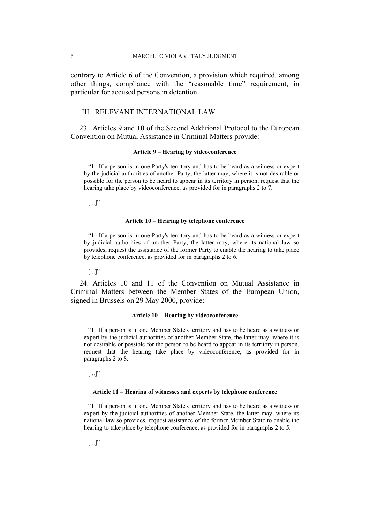contrary to Article 6 of the Convention, a provision which required, among other things, compliance with the "reasonable time" requirement, in particular for accused persons in detention.

### III. RELEVANT INTERNATIONAL LAW

23. Articles 9 and 10 of the Second Additional Protocol to the European Convention on Mutual Assistance in Criminal Matters provide:

#### **Article 9 – Hearing by videoconference**

"1. If a person is in one Party's territory and has to be heard as a witness or expert by the judicial authorities of another Party, the latter may, where it is not desirable or possible for the person to be heard to appear in its territory in person, request that the hearing take place by videoconference, as provided for in paragraphs 2 to 7.

 $\left[\ldots\right]$ "

#### **Article 10 – Hearing by telephone conference**

"1. If a person is in one Party's territory and has to be heard as a witness or expert by judicial authorities of another Party, the latter may, where its national law so provides, request the assistance of the former Party to enable the hearing to take place by telephone conference, as provided for in paragraphs 2 to 6.

 $\left[\ldots\right]$ "

24. Articles 10 and 11 of the Convention on Mutual Assistance in Criminal Matters between the Member States of the European Union, signed in Brussels on 29 May 2000, provide:

#### **Article 10 – Hearing by videoconference**

"1. If a person is in one Member State's territory and has to be heard as a witness or expert by the judicial authorities of another Member State, the latter may, where it is not desirable or possible for the person to be heard to appear in its territory in person, request that the hearing take place by videoconference, as provided for in paragraphs 2 to 8.

 $\left[\ldots\right]$ "

#### **Article 11 – Hearing of witnesses and experts by telephone conference**

"1. If a person is in one Member State's territory and has to be heard as a witness or expert by the judicial authorities of another Member State, the latter may, where its national law so provides, request assistance of the former Member State to enable the hearing to take place by telephone conference, as provided for in paragraphs 2 to 5.

 $\left[\ldots\right]$ "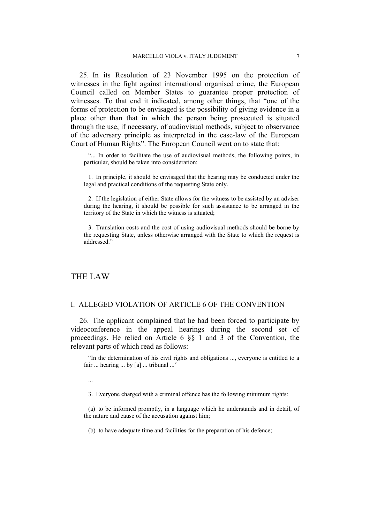25. In its Resolution of 23 November 1995 on the protection of witnesses in the fight against international organised crime, the European Council called on Member States to guarantee proper protection of witnesses. To that end it indicated, among other things, that "one of the forms of protection to be envisaged is the possibility of giving evidence in a place other than that in which the person being prosecuted is situated through the use, if necessary, of audiovisual methods, subject to observance of the adversary principle as interpreted in the case-law of the European Court of Human Rights". The European Council went on to state that:

"... In order to facilitate the use of audiovisual methods, the following points, in particular, should be taken into consideration:

1. In principle, it should be envisaged that the hearing may be conducted under the legal and practical conditions of the requesting State only.

2. If the legislation of either State allows for the witness to be assisted by an adviser during the hearing, it should be possible for such assistance to be arranged in the territory of the State in which the witness is situated;

3. Translation costs and the cost of using audiovisual methods should be borne by the requesting State, unless otherwise arranged with the State to which the request is addressed."

## THE LAW

## I. ALLEGED VIOLATION OF ARTICLE 6 OF THE CONVENTION

26. The applicant complained that he had been forced to participate by videoconference in the appeal hearings during the second set of proceedings. He relied on Article 6 §§ 1 and 3 of the Convention, the relevant parts of which read as follows:

"In the determination of his civil rights and obligations ..., everyone is entitled to a fair ... hearing ... by [a] ... tribunal ..."

...

3. Everyone charged with a criminal offence has the following minimum rights:

(a) to be informed promptly, in a language which he understands and in detail, of the nature and cause of the accusation against him;

(b) to have adequate time and facilities for the preparation of his defence;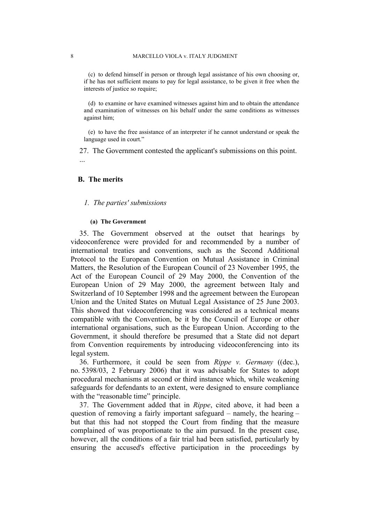(c) to defend himself in person or through legal assistance of his own choosing or, if he has not sufficient means to pay for legal assistance, to be given it free when the interests of justice so require;

(d) to examine or have examined witnesses against him and to obtain the attendance and examination of witnesses on his behalf under the same conditions as witnesses against him;

(e) to have the free assistance of an interpreter if he cannot understand or speak the language used in court."

27. The Government contested the applicant's submissions on this point.

#### **B. The merits**

...

#### *1. The parties' submissions*

#### **(a) The Government**

35. The Government observed at the outset that hearings by videoconference were provided for and recommended by a number of international treaties and conventions, such as the Second Additional Protocol to the European Convention on Mutual Assistance in Criminal Matters, the Resolution of the European Council of 23 November 1995, the Act of the European Council of 29 May 2000, the Convention of the European Union of 29 May 2000, the agreement between Italy and Switzerland of 10 September 1998 and the agreement between the European Union and the United States on Mutual Legal Assistance of 25 June 2003. This showed that videoconferencing was considered as a technical means compatible with the Convention, be it by the Council of Europe or other international organisations, such as the European Union. According to the Government, it should therefore be presumed that a State did not depart from Convention requirements by introducing videoconferencing into its legal system.

36. Furthermore, it could be seen from *Rippe v. Germany* ((dec.), no. 5398/03, 2 February 2006) that it was advisable for States to adopt procedural mechanisms at second or third instance which, while weakening safeguards for defendants to an extent, were designed to ensure compliance with the "reasonable time" principle.

37. The Government added that in *Rippe*, cited above, it had been a question of removing a fairly important safeguard – namely, the hearing – but that this had not stopped the Court from finding that the measure complained of was proportionate to the aim pursued. In the present case, however, all the conditions of a fair trial had been satisfied, particularly by ensuring the accused's effective participation in the proceedings by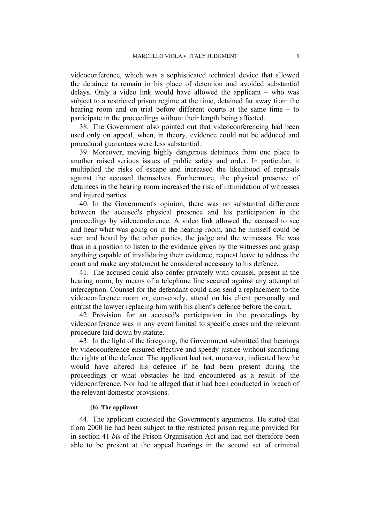videoconference, which was a sophisticated technical device that allowed the detainee to remain in his place of detention and avoided substantial delays. Only a video link would have allowed the applicant – who was subject to a restricted prison regime at the time, detained far away from the hearing room and on trial before different courts at the same time – to participate in the proceedings without their length being affected.

38. The Government also pointed out that videoconferencing had been used only on appeal, when, in theory, evidence could not be adduced and procedural guarantees were less substantial.

39. Moreover, moving highly dangerous detainees from one place to another raised serious issues of public safety and order. In particular, it multiplied the risks of escape and increased the likelihood of reprisals against the accused themselves. Furthermore, the physical presence of detainees in the hearing room increased the risk of intimidation of witnesses and injured parties.

40. In the Government's opinion, there was no substantial difference between the accused's physical presence and his participation in the proceedings by videoconference. A video link allowed the accused to see and hear what was going on in the hearing room, and he himself could be seen and heard by the other parties, the judge and the witnesses. He was thus in a position to listen to the evidence given by the witnesses and grasp anything capable of invalidating their evidence, request leave to address the court and make any statement he considered necessary to his defence.

41. The accused could also confer privately with counsel, present in the hearing room, by means of a telephone line secured against any attempt at interception. Counsel for the defendant could also send a replacement to the videoconference room or, conversely, attend on his client personally and entrust the lawyer replacing him with his client's defence before the court.

42. Provision for an accused's participation in the proceedings by videoconference was in any event limited to specific cases and the relevant procedure laid down by statute.

43. In the light of the foregoing, the Government submitted that hearings by videoconference ensured effective and speedy justice without sacrificing the rights of the defence. The applicant had not, moreover, indicated how he would have altered his defence if he had been present during the proceedings or what obstacles he had encountered as a result of the videoconference. Nor had he alleged that it had been conducted in breach of the relevant domestic provisions.

## **(b) The applicant**

44. The applicant contested the Government's arguments. He stated that from 2000 he had been subject to the restricted prison regime provided for in section 41 *bis* of the Prison Organisation Act and had not therefore been able to be present at the appeal hearings in the second set of criminal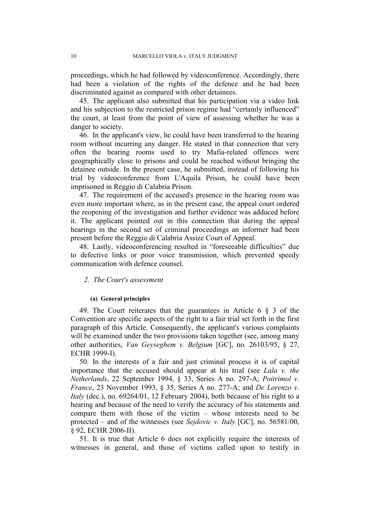proceedings, which he had followed by videoconference. Accordingly, there had been a violation of the rights of the defence and he had been discriminated against as compared with other detainees.

45. The applicant also submitted that his participation via a video link and his subjection to the restricted prison regime had "certainly influenced" the court, at least from the point of view of assessing whether he was a danger to society.

46. In the applicant's view, he could have been transferred to the hearing room without incurring any danger. He stated in that connection that very often the hearing rooms used to try Mafia-related offences were geographically close to prisons and could be reached without bringing the detainee outside. In the present case, he submitted, instead of following his trial by videoconference from L'Aquila Prison, he could have been imprisoned in Reggio di Calabria Prison.

47. The requirement of the accused's presence in the hearing room was even more important where, as in the present case, the appeal court ordered the reopening of the investigation and further evidence was adduced before it. The applicant pointed out in this connection that during the appeal hearings in the second set of criminal proceedings an informer had been present before the Reggio di Calabria Assize Court of Appeal.

48. Lastly, videoconferencing resulted in "foreseeable difficulties" due to defective links or poor voice transmission, which prevented speedy communication with defence counsel.

## *2. The Court's assessment*

#### **(a) General principles**

49. The Court reiterates that the guarantees in Article 6 § 3 of the Convention are specific aspects of the right to a fair trial set forth in the first paragraph of this Article. Consequently, the applicant's various complaints will be examined under the two provisions taken together (see, among many other authorities, *Van Geyseghem v. Belgium* [GC], no. 26103/95, § 27, ECHR 1999-I).

50. In the interests of a fair and just criminal process it is of capital importance that the accused should appear at his trial (see *Lala v. the Netherlands*, 22 September 1994, § 33, Series A no. 297-A; *Poitrimol v. France*, 23 November 1993, § 35, Series A no. 277-A; and *De Lorenzo v. Italy* (dec.), no. 69264/01, 12 February 2004), both because of his right to a hearing and because of the need to verify the accuracy of his statements and compare them with those of the victim – whose interests need to be protected – and of the witnesses (see *Sejdovic v. Italy* [GC], no. 56581/00, § 92, ECHR 2006-II).

51. It is true that Article 6 does not explicitly require the interests of witnesses in general, and those of victims called upon to testify in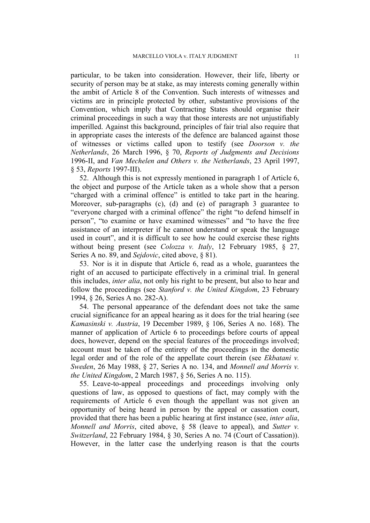particular, to be taken into consideration. However, their life, liberty or security of person may be at stake, as may interests coming generally within the ambit of Article 8 of the Convention. Such interests of witnesses and victims are in principle protected by other, substantive provisions of the Convention, which imply that Contracting States should organise their criminal proceedings in such a way that those interests are not unjustifiably imperilled. Against this background, principles of fair trial also require that in appropriate cases the interests of the defence are balanced against those of witnesses or victims called upon to testify (see *Doorson v. the Netherlands*, 26 March 1996, § 70, *Reports of Judgments and Decisions* 1996-II, and *Van Mechelen and Others v. the Netherlands*, 23 April 1997, § 53, *Reports* 1997-III).

52. Although this is not expressly mentioned in paragraph 1 of Article 6, the object and purpose of the Article taken as a whole show that a person "charged with a criminal offence" is entitled to take part in the hearing. Moreover, sub-paragraphs (c), (d) and (e) of paragraph 3 guarantee to "everyone charged with a criminal offence" the right "to defend himself in person", "to examine or have examined witnesses" and "to have the free assistance of an interpreter if he cannot understand or speak the language used in court", and it is difficult to see how he could exercise these rights without being present (see *Colozza v. Italy*, 12 February 1985, § 27, Series A no. 89, and *Sejdovic*, cited above, § 81).

53. Nor is it in dispute that Article 6, read as a whole, guarantees the right of an accused to participate effectively in a criminal trial. In general this includes, *inter alia*, not only his right to be present, but also to hear and follow the proceedings (see *Stanford v. the United Kingdom*, 23 February 1994, § 26, Series A no. 282-A).

54. The personal appearance of the defendant does not take the same crucial significance for an appeal hearing as it does for the trial hearing (see *Kamasinski v. Austria*, 19 December 1989, § 106, Series A no. 168). The manner of application of Article 6 to proceedings before courts of appeal does, however, depend on the special features of the proceedings involved; account must be taken of the entirety of the proceedings in the domestic legal order and of the role of the appellate court therein (see *Ekbatani v. Sweden*, 26 May 1988, § 27, Series A no. 134, and *Monnell and Morris v. the United Kingdom*, 2 March 1987, § 56, Series A no. 115).

55. Leave-to-appeal proceedings and proceedings involving only questions of law, as opposed to questions of fact, may comply with the requirements of Article 6 even though the appellant was not given an opportunity of being heard in person by the appeal or cassation court, provided that there has been a public hearing at first instance (see, *inter alia*, *Monnell and Morris*, cited above, § 58 (leave to appeal), and *Sutter v. Switzerland*, 22 February 1984, § 30, Series A no. 74 (Court of Cassation)). However, in the latter case the underlying reason is that the courts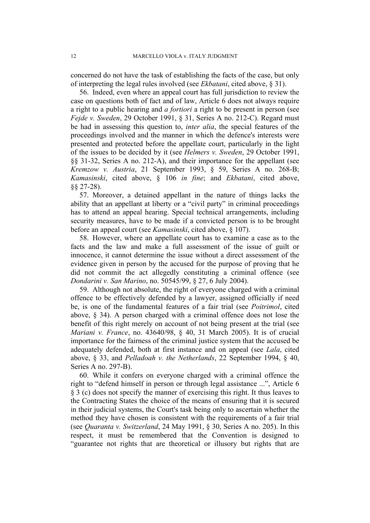concerned do not have the task of establishing the facts of the case, but only of interpreting the legal rules involved (see *Ekbatani*, cited above, § 31).

56. Indeed, even where an appeal court has full jurisdiction to review the case on questions both of fact and of law, Article 6 does not always require a right to a public hearing and *a fortiori* a right to be present in person (see *Fejde v. Sweden*, 29 October 1991, § 31, Series A no. 212-C). Regard must be had in assessing this question to, *inter alia*, the special features of the proceedings involved and the manner in which the defence's interests were presented and protected before the appellate court, particularly in the light of the issues to be decided by it (see *Helmers v. Sweden*, 29 October 1991, §§ 31-32, Series A no. 212-A), and their importance for the appellant (see *Kremzow v. Austria*, 21 September 1993, § 59, Series A no. 268-B; *Kamasinski*, cited above, § 106 *in fine*; and *Ekbatani*, cited above, §§ 27-28).

57. Moreover, a detained appellant in the nature of things lacks the ability that an appellant at liberty or a "civil party" in criminal proceedings has to attend an appeal hearing. Special technical arrangements, including security measures, have to be made if a convicted person is to be brought before an appeal court (see *Kamasinski*, cited above, § 107).

58. However, where an appellate court has to examine a case as to the facts and the law and make a full assessment of the issue of guilt or innocence, it cannot determine the issue without a direct assessment of the evidence given in person by the accused for the purpose of proving that he did not commit the act allegedly constituting a criminal offence (see *Dondarini v. San Marino*, no. 50545/99, § 27, 6 July 2004).

59. Although not absolute, the right of everyone charged with a criminal offence to be effectively defended by a lawyer, assigned officially if need be, is one of the fundamental features of a fair trial (see *Poitrimol*, cited above, § 34). A person charged with a criminal offence does not lose the benefit of this right merely on account of not being present at the trial (see *Mariani v. France*, no. 43640/98, § 40, 31 March 2005). It is of crucial importance for the fairness of the criminal justice system that the accused be adequately defended, both at first instance and on appeal (see *Lala*, cited above, § 33, and *Pelladoah v. the Netherlands*, 22 September 1994, § 40, Series A no. 297-B).

60. While it confers on everyone charged with a criminal offence the right to "defend himself in person or through legal assistance ...", Article 6 § 3 (c) does not specify the manner of exercising this right. It thus leaves to the Contracting States the choice of the means of ensuring that it is secured in their judicial systems, the Court's task being only to ascertain whether the method they have chosen is consistent with the requirements of a fair trial (see *Quaranta v. Switzerland*, 24 May 1991, § 30, Series A no. 205). In this respect, it must be remembered that the Convention is designed to "guarantee not rights that are theoretical or illusory but rights that are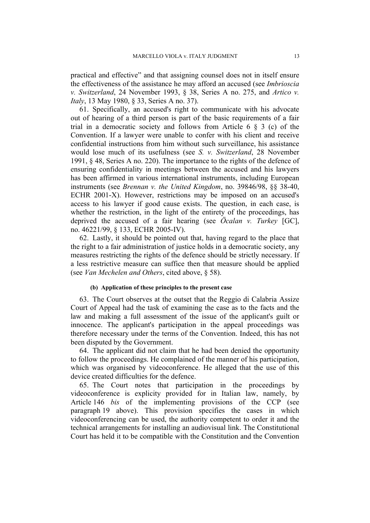practical and effective" and that assigning counsel does not in itself ensure the effectiveness of the assistance he may afford an accused (see *Imbrioscia v. Switzerland*, 24 November 1993, § 38, Series A no. 275, and *Artico v. Italy*, 13 May 1980, § 33, Series A no. 37).

61. Specifically, an accused's right to communicate with his advocate out of hearing of a third person is part of the basic requirements of a fair trial in a democratic society and follows from Article  $6 \& 3$  (c) of the Convention. If a lawyer were unable to confer with his client and receive confidential instructions from him without such surveillance, his assistance would lose much of its usefulness (see *S. v. Switzerland*, 28 November 1991, § 48, Series A no. 220). The importance to the rights of the defence of ensuring confidentiality in meetings between the accused and his lawyers has been affirmed in various international instruments, including European instruments (see *Brennan v. the United Kingdom*, no. 39846/98, §§ 38-40, ECHR 2001-X). However, restrictions may be imposed on an accused's access to his lawyer if good cause exists. The question, in each case, is whether the restriction, in the light of the entirety of the proceedings, has deprived the accused of a fair hearing (see *Öcalan v. Turkey* [GC], no. 46221/99, § 133, ECHR 2005-IV).

62. Lastly, it should be pointed out that, having regard to the place that the right to a fair administration of justice holds in a democratic society, any measures restricting the rights of the defence should be strictly necessary. If a less restrictive measure can suffice then that measure should be applied (see *Van Mechelen and Others*, cited above, § 58).

#### **(b) Application of these principles to the present case**

63. The Court observes at the outset that the Reggio di Calabria Assize Court of Appeal had the task of examining the case as to the facts and the law and making a full assessment of the issue of the applicant's guilt or innocence. The applicant's participation in the appeal proceedings was therefore necessary under the terms of the Convention. Indeed, this has not been disputed by the Government.

64. The applicant did not claim that he had been denied the opportunity to follow the proceedings. He complained of the manner of his participation, which was organised by videoconference. He alleged that the use of this device created difficulties for the defence.

65. The Court notes that participation in the proceedings by videoconference is explicity provided for in Italian law, namely, by Article 146 *bis* of the implementing provisions of the CCP (see paragraph 19 above). This provision specifies the cases in which videoconferencing can be used, the authority competent to order it and the technical arrangements for installing an audiovisual link. The Constitutional Court has held it to be compatible with the Constitution and the Convention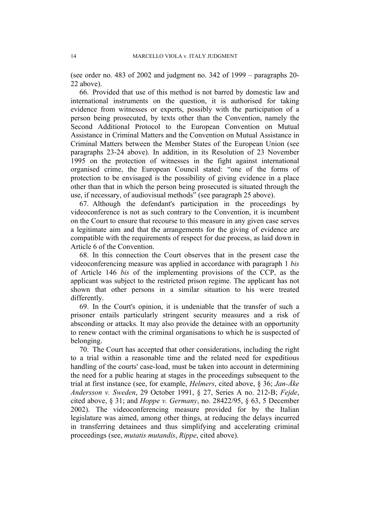(see order no. 483 of 2002 and judgment no. 342 of 1999 – paragraphs 20- 22 above).

66. Provided that use of this method is not barred by domestic law and international instruments on the question, it is authorised for taking evidence from witnesses or experts, possibly with the participation of a person being prosecuted, by texts other than the Convention, namely the Second Additional Protocol to the European Convention on Mutual Assistance in Criminal Matters and the Convention on Mutual Assistance in Criminal Matters between the Member States of the European Union (see paragraphs 23-24 above). In addition, in its Resolution of 23 November 1995 on the protection of witnesses in the fight against international organised crime, the European Council stated: "one of the forms of protection to be envisaged is the possibility of giving evidence in a place other than that in which the person being prosecuted is situated through the use, if necessary, of audiovisual methods" (see paragraph 25 above).

67. Although the defendant's participation in the proceedings by videoconference is not as such contrary to the Convention, it is incumbent on the Court to ensure that recourse to this measure in any given case serves a legitimate aim and that the arrangements for the giving of evidence are compatible with the requirements of respect for due process, as laid down in Article 6 of the Convention.

68. In this connection the Court observes that in the present case the videoconferencing measure was applied in accordance with paragraph 1 *bis* of Article 146 *bis* of the implementing provisions of the CCP, as the applicant was subject to the restricted prison regime. The applicant has not shown that other persons in a similar situation to his were treated differently.

69. In the Court's opinion, it is undeniable that the transfer of such a prisoner entails particularly stringent security measures and a risk of absconding or attacks. It may also provide the detainee with an opportunity to renew contact with the criminal organisations to which he is suspected of belonging.

70. The Court has accepted that other considerations, including the right to a trial within a reasonable time and the related need for expeditious handling of the courts' case-load, must be taken into account in determining the need for a public hearing at stages in the proceedings subsequent to the trial at first instance (see, for example, *Helmers*, cited above, § 36; *Jan-Åke Andersson v. Sweden*, 29 October 1991, § 27, Series A no. 212-B; *Fejde*, cited above, § 31; and *Hoppe v. Germany*, no. 28422/95, § 63, 5 December 2002). The videoconferencing measure provided for by the Italian legislature was aimed, among other things, at reducing the delays incurred in transferring detainees and thus simplifying and accelerating criminal proceedings (see, *mutatis mutandis*, *Rippe*, cited above).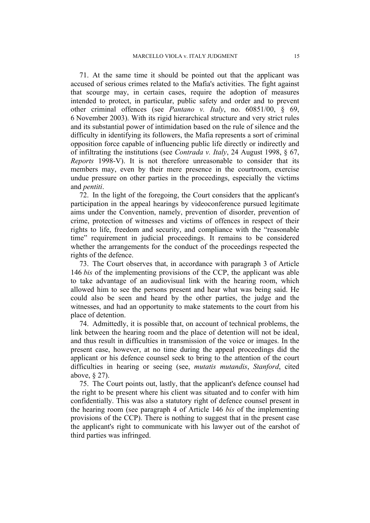71. At the same time it should be pointed out that the applicant was accused of serious crimes related to the Mafia's activities. The fight against that scourge may, in certain cases, require the adoption of measures intended to protect, in particular, public safety and order and to prevent other criminal offences (see *Pantano v. Italy*, no. 60851/00, § 69, 6 November 2003). With its rigid hierarchical structure and very strict rules and its substantial power of intimidation based on the rule of silence and the difficulty in identifying its followers, the Mafia represents a sort of criminal opposition force capable of influencing public life directly or indirectly and of infiltrating the institutions (see *Contrada v. Italy*, 24 August 1998, § 67, *Reports* 1998-V). It is not therefore unreasonable to consider that its members may, even by their mere presence in the courtroom, exercise undue pressure on other parties in the proceedings, especially the victims and *pentiti*.

72. In the light of the foregoing, the Court considers that the applicant's participation in the appeal hearings by videoconference pursued legitimate aims under the Convention, namely, prevention of disorder, prevention of crime, protection of witnesses and victims of offences in respect of their rights to life, freedom and security, and compliance with the "reasonable time" requirement in judicial proceedings. It remains to be considered whether the arrangements for the conduct of the proceedings respected the rights of the defence.

73. The Court observes that, in accordance with paragraph 3 of Article 146 *bis* of the implementing provisions of the CCP, the applicant was able to take advantage of an audiovisual link with the hearing room, which allowed him to see the persons present and hear what was being said. He could also be seen and heard by the other parties, the judge and the witnesses, and had an opportunity to make statements to the court from his place of detention.

74. Admittedly, it is possible that, on account of technical problems, the link between the hearing room and the place of detention will not be ideal, and thus result in difficulties in transmission of the voice or images. In the present case, however, at no time during the appeal proceedings did the applicant or his defence counsel seek to bring to the attention of the court difficulties in hearing or seeing (see, *mutatis mutandis*, *Stanford*, cited above, § 27).

75. The Court points out, lastly, that the applicant's defence counsel had the right to be present where his client was situated and to confer with him confidentially. This was also a statutory right of defence counsel present in the hearing room (see paragraph 4 of Article 146 *bis* of the implementing provisions of the CCP). There is nothing to suggest that in the present case the applicant's right to communicate with his lawyer out of the earshot of third parties was infringed.